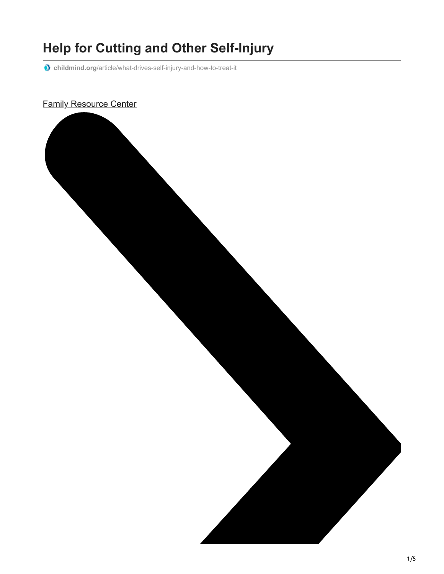# **Help for Cutting and Other Self-Injury**

**childmind.org**[/article/what-drives-self-injury-and-how-to-treat-it](https://childmind.org/article/what-drives-self-injury-and-how-to-treat-it/)

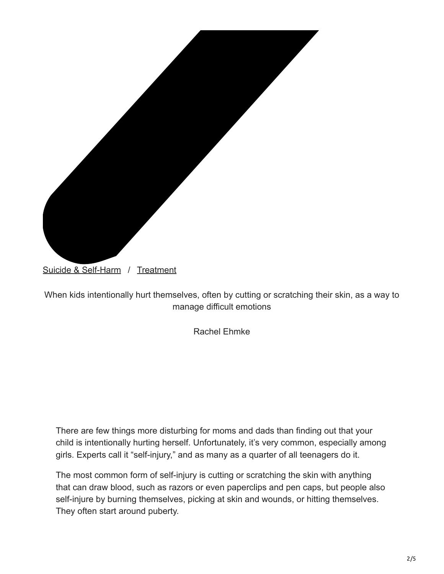

[Suicide & Self-Harm](https://childmind.org/topics/suicide-self-harm/) / [Treatment](https://childmind.org/topics/treatment/)

When kids intentionally hurt themselves, often by cutting or scratching their skin, as a way to manage difficult emotions

Rachel Ehmke

There are few things more disturbing for moms and dads than finding out that your child is intentionally hurting herself. Unfortunately, it's very common, especially among girls. Experts call it "self-injury," and as many as a quarter of all teenagers do it.

The most common form of self-injury is cutting or scratching the skin with anything that can draw blood, such as razors or even paperclips and pen caps, but people also self-injure by burning themselves, picking at skin and wounds, or hitting themselves. They often start around puberty.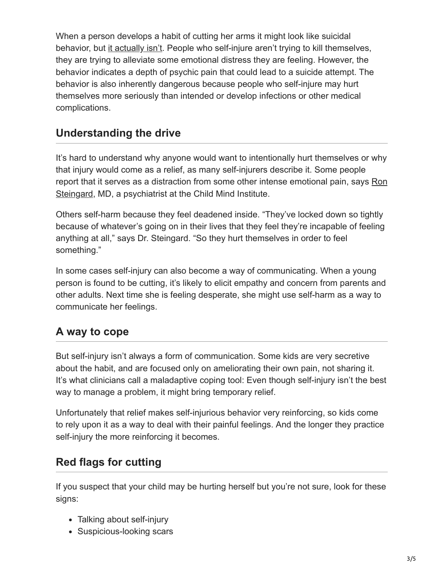When a person develops a habit of cutting her arms it might look like suicidal behavior, but [it actually isn't.](https://childmind.org/article/how-are-self-injury-and-suicide-related/) People who self-injure aren't trying to kill themselves, they are trying to alleviate some emotional distress they are feeling. However, the behavior indicates a depth of psychic pain that could lead to a suicide attempt. The behavior is also inherently dangerous because people who self-injure may hurt themselves more seriously than intended or develop infections or other medical complications.

#### **Understanding the drive**

It's hard to understand why anyone would want to intentionally hurt themselves or why that injury would come as a relief, as many self-injurers describe it. Some people [report that it serves as a distraction from some other intense emotional pain, says Ron](https://childmind.org/bio/ron-j-steingard-md/) Steingard, MD, a psychiatrist at the Child Mind Institute.

Others self-harm because they feel deadened inside. "They've locked down so tightly because of whatever's going on in their lives that they feel they're incapable of feeling anything at all," says Dr. Steingard. "So they hurt themselves in order to feel something."

In some cases self-injury can also become a way of communicating. When a young person is found to be cutting, it's likely to elicit empathy and concern from parents and other adults. Next time she is feeling desperate, she might use self-harm as a way to communicate her feelings.

### **A way to cope**

But self-injury isn't always a form of communication. Some kids are very secretive about the habit, and are focused only on ameliorating their own pain, not sharing it. It's what clinicians call a maladaptive coping tool: Even though self-injury isn't the best way to manage a problem, it might bring temporary relief.

Unfortunately that relief makes self-injurious behavior very reinforcing, so kids come to rely upon it as a way to deal with their painful feelings. And the longer they practice self-injury the more reinforcing it becomes.

#### **Red flags for cutting**

If you suspect that your child may be hurting herself but you're not sure, look for these signs:

- Talking about self-injury
- Suspicious-looking scars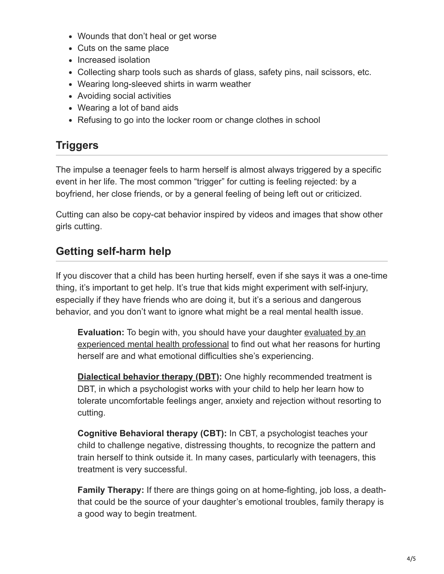- Wounds that don't heal or get worse
- Cuts on the same place
- Increased isolation
- Collecting sharp tools such as shards of glass, safety pins, nail scissors, etc.
- Wearing long-sleeved shirts in warm weather
- Avoiding social activities
- Wearing a lot of band aids
- Refusing to go into the locker room or change clothes in school

## **Triggers**

The impulse a teenager feels to harm herself is almost always triggered by a specific event in her life. The most common "trigger" for cutting is feeling rejected: by a boyfriend, her close friends, or by a general feeling of being left out or criticized.

Cutting can also be copy-cat behavior inspired by videos and images that show other girls cutting.

## **Getting self-harm help**

If you discover that a child has been hurting herself, even if she says it was a one-time thing, it's important to get help. It's true that kids might experiment with self-injury, especially if they have friends who are doing it, but it's a serious and dangerous behavior, and you don't want to ignore what might be a real mental health issue.

**Evaluation:** To begin with, you should have your daughter evaluated by an [experienced mental health professional to find out what her reasons for hur](https://childmind.org/guide/parents-guide-getting-good-care-2/)ting herself are and what emotional difficulties she's experiencing.

**[Dialectical behavior therapy \(DBT\)](https://childmind.org/article/dbt-dialectical-behavior-therapy/):** One highly recommended treatment is DBT, in which a psychologist works with your child to help her learn how to tolerate uncomfortable feelings anger, anxiety and rejection without resorting to cutting.

**Cognitive Behavioral therapy (CBT):** In CBT, a psychologist teaches your child to challenge negative, distressing thoughts, to recognize the pattern and train herself to think outside it. In many cases, particularly with teenagers, this treatment is very successful.

**Family Therapy:** If there are things going on at home-fighting, job loss, a deaththat could be the source of your daughter's emotional troubles, family therapy is a good way to begin treatment.